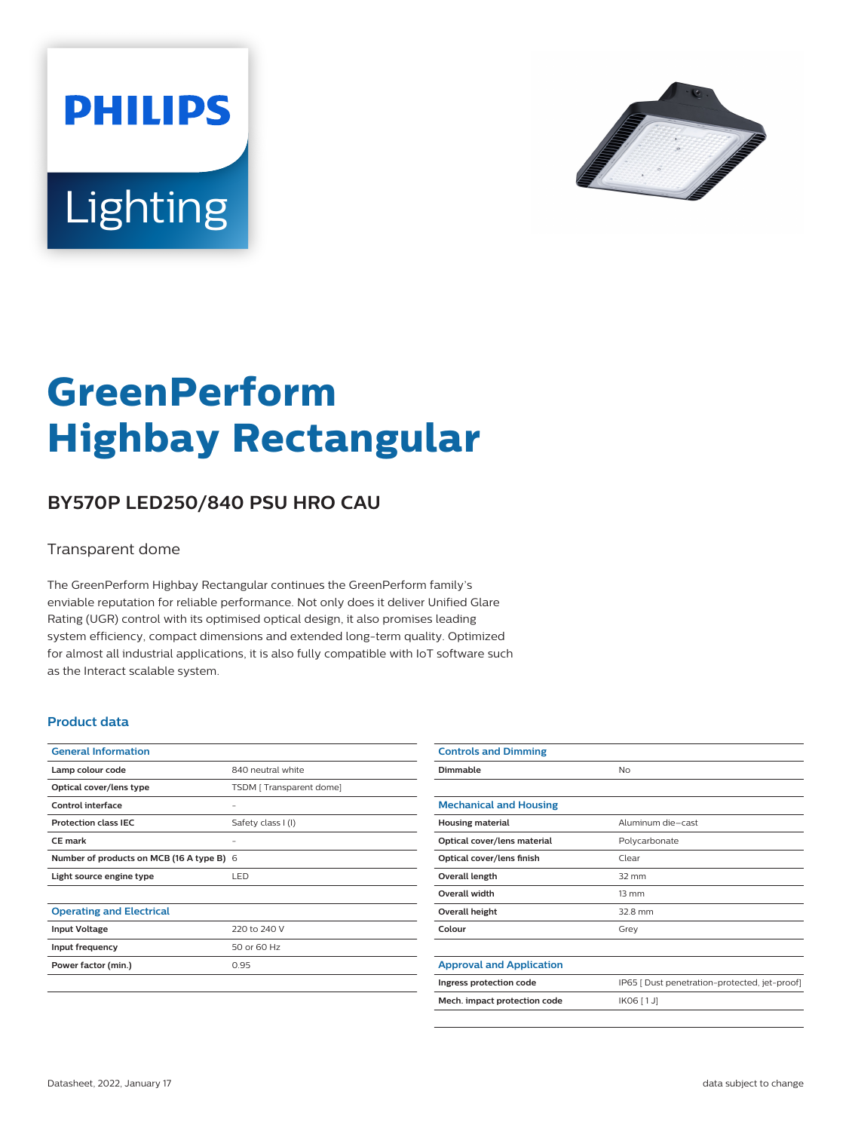



# **GreenPerform Highbay Rectangular**

## **BY570P LED250/840 PSU HRO CAU**

#### Transparent dome

The GreenPerform Highbay Rectangular continues the GreenPerform family's enviable reputation for reliable performance. Not only does it deliver Unified Glare Rating (UGR) control with its optimised optical design, it also promises leading system efficiency, compact dimensions and extended long-term quality. Optimized for almost all industrial applications, it is also fully compatible with IoT software such as the Interact scalable system.

#### **Product data**

| <b>General Information</b>                |                         |
|-------------------------------------------|-------------------------|
| Lamp colour code                          | 840 neutral white       |
| Optical cover/lens type                   | TSDM [Transparent dome] |
| Control interface                         |                         |
| <b>Protection class IEC</b>               | Safety class I (I)      |
| CF mark                                   |                         |
| Number of products on MCB (16 A type B) 6 |                         |
| Light source engine type                  | LED                     |
|                                           |                         |
| <b>Operating and Electrical</b>           |                         |
| <b>Input Voltage</b>                      | 220 to 240 V            |
| Input frequency                           | 50 or 60 Hz             |
| Power factor (min.)                       | 0.95                    |
|                                           |                         |

| <b>Controls and Dimming</b>     |                                               |
|---------------------------------|-----------------------------------------------|
| Dimmable                        | <b>No</b>                                     |
|                                 |                                               |
| <b>Mechanical and Housing</b>   |                                               |
| <b>Housing material</b>         | Aluminum die-cast                             |
| Optical cover/lens material     | Polycarbonate                                 |
| Optical cover/lens finish       | Clear                                         |
| Overall length                  | $32 \text{ mm}$                               |
| <b>Overall width</b>            | $13 \, \text{mm}$                             |
| Overall height                  | 32.8 mm                                       |
| Colour                          | Grey                                          |
|                                 |                                               |
| <b>Approval and Application</b> |                                               |
| Ingress protection code         | IP65 [ Dust penetration-protected, jet-proof] |
| Mech. impact protection code    | IK06 [1J]                                     |
|                                 |                                               |